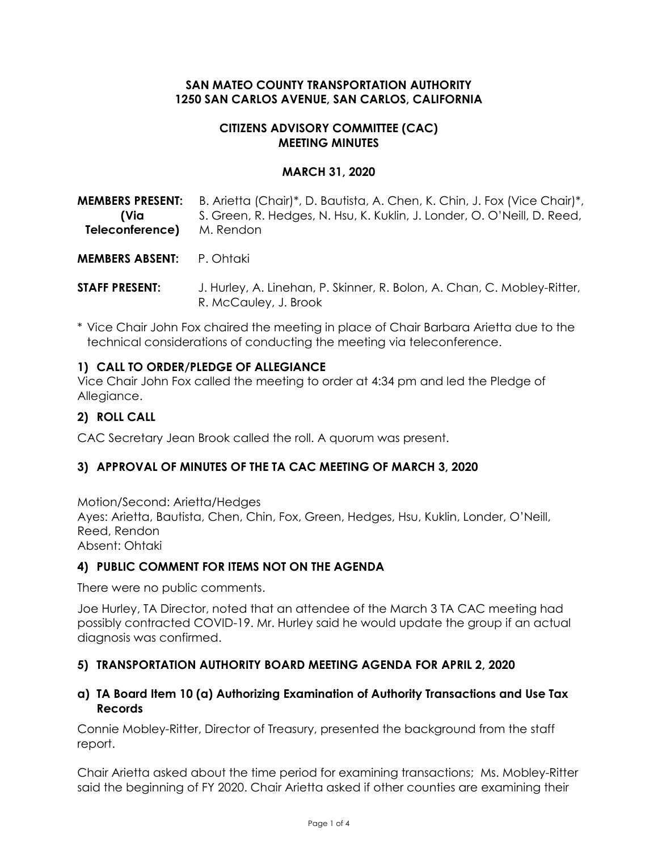#### **SAN MATEO COUNTY TRANSPORTATION AUTHORITY 1250 SAN CARLOS AVENUE, SAN CARLOS, CALIFORNIA**

#### **CITIZENS ADVISORY COMMITTEE (CAC) MEETING MINUTES**

#### **MARCH 31, 2020**

**MEMBERS PRESENT: (Via Teleconference)** B. Arietta (Chair)\*, D. Bautista, A. Chen, K. Chin, J. Fox (Vice Chair)\*, S. Green, R. Hedges, N. Hsu, K. Kuklin, J. Londer, O. O'Neill, D. Reed, M. Rendon

**MEMBERS ABSENT:** P. Ohtaki

**STAFF PRESENT:** J. Hurley, A. Linehan, P. Skinner, R. Bolon, A. Chan, C. Mobley-Ritter, R. McCauley, J. Brook

\* Vice Chair John Fox chaired the meeting in place of Chair Barbara Arietta due to the technical considerations of conducting the meeting via teleconference.

#### **1) CALL TO ORDER/PLEDGE OF ALLEGIANCE**

Vice Chair John Fox called the meeting to order at 4:34 pm and led the Pledge of Allegiance.

#### **2) ROLL CALL**

CAC Secretary Jean Brook called the roll. A quorum was present.

## **3) APPROVAL OF MINUTES OF THE TA CAC MEETING OF MARCH 3, 2020**

Motion/Second: Arietta/Hedges Ayes: Arietta, Bautista, Chen, Chin, Fox, Green, Hedges, Hsu, Kuklin, Londer, O'Neill, Reed, Rendon Absent: Ohtaki

#### **4) PUBLIC COMMENT FOR ITEMS NOT ON THE AGENDA**

There were no public comments.

Joe Hurley, TA Director, noted that an attendee of the March 3 TA CAC meeting had possibly contracted COVID-19. Mr. Hurley said he would update the group if an actual diagnosis was confirmed.

## **5) TRANSPORTATION AUTHORITY BOARD MEETING AGENDA FOR APRIL 2, 2020**

#### **a) TA Board Item 10 (a) Authorizing Examination of Authority Transactions and Use Tax Records**

Connie Mobley-Ritter, Director of Treasury, presented the background from the staff report.

Chair Arietta asked about the time period for examining transactions; Ms. Mobley-Ritter said the beginning of FY 2020. Chair Arietta asked if other counties are examining their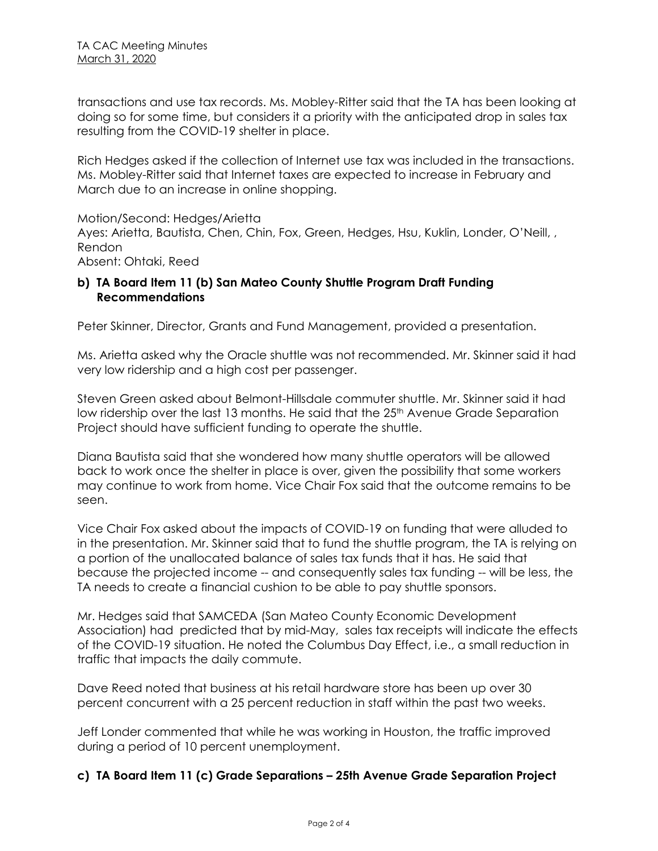transactions and use tax records. Ms. Mobley-Ritter said that the TA has been looking at doing so for some time, but considers it a priority with the anticipated drop in sales tax resulting from the COVID-19 shelter in place.

Rich Hedges asked if the collection of Internet use tax was included in the transactions. Ms. Mobley-Ritter said that Internet taxes are expected to increase in February and March due to an increase in online shopping.

Motion/Second: Hedges/Arietta Ayes: Arietta, Bautista, Chen, Chin, Fox, Green, Hedges, Hsu, Kuklin, Londer, O'Neill, , Rendon Absent: Ohtaki, Reed

#### **b) TA Board Item 11 (b) San Mateo County Shuttle Program Draft Funding Recommendations**

Peter Skinner, Director, Grants and Fund Management, provided a presentation.

Ms. Arietta asked why the Oracle shuttle was not recommended. Mr. Skinner said it had very low ridership and a high cost per passenger.

Steven Green asked about Belmont-Hillsdale commuter shuttle. Mr. Skinner said it had low ridership over the last 13 months. He said that the 25<sup>th</sup> Avenue Grade Separation Project should have sufficient funding to operate the shuttle.

Diana Bautista said that she wondered how many shuttle operators will be allowed back to work once the shelter in place is over, given the possibility that some workers may continue to work from home. Vice Chair Fox said that the outcome remains to be seen.

Vice Chair Fox asked about the impacts of COVID-19 on funding that were alluded to in the presentation. Mr. Skinner said that to fund the shuttle program, the TA is relying on a portion of the unallocated balance of sales tax funds that it has. He said that because the projected income -- and consequently sales tax funding -- will be less, the TA needs to create a financial cushion to be able to pay shuttle sponsors.

Mr. Hedges said that SAMCEDA (San Mateo County Economic Development Association) had predicted that by mid-May, sales tax receipts will indicate the effects of the COVID-19 situation. He noted the Columbus Day Effect, i.e., a small reduction in traffic that impacts the daily commute.

Dave Reed noted that business at his retail hardware store has been up over 30 percent concurrent with a 25 percent reduction in staff within the past two weeks.

Jeff Londer commented that while he was working in Houston, the traffic improved during a period of 10 percent unemployment.

## **c) TA Board Item 11 (c) Grade Separations – 25th Avenue Grade Separation Project**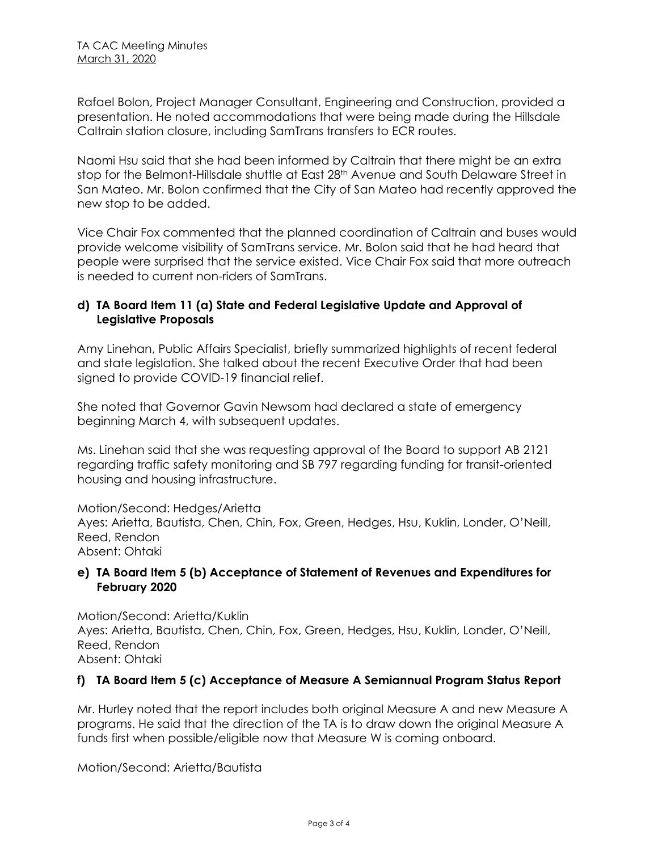Rafael Bolon, Project Manager Consultant, Engineering and Construction, provided a presentation. He noted accommodations that were being made during the Hillsdale Caltrain station closure, including SamTrans transfers to ECR routes.

Naomi Hsu said that she had been informed by Caltrain that there might be an extra stop for the Belmont-Hillsdale shuttle at East 28<sup>th</sup> Avenue and South Delaware Street in San Mateo. Mr. Bolon confirmed that the City of San Mateo had recently approved the new stop to be added.

Vice Chair Fox commented that the planned coordination of Caltrain and buses would provide welcome visibility of SamTrans service. Mr. Bolon said that he had heard that people were surprised that the service existed. Vice Chair Fox said that more outreach is needed to current non-riders of SamTrans.

#### **d) TA Board Item 11 (a) State and Federal Legislative Update and Approval of Legislative Proposals**

Amy Linehan, Public Affairs Specialist, briefly summarized highlights of recent federal and state legislation. She talked about the recent Executive Order that had been signed to provide COVID-19 financial relief.

She noted that Governor Gavin Newsom had declared a state of emergency beginning March 4, with subsequent updates.

Ms. Linehan said that she was requesting approval of the Board to support AB 2121 regarding traffic safety monitoring and SB 797 regarding funding for transit-oriented housing and housing infrastructure.

Motion/Second: Hedges/Arietta Ayes: Arietta, Bautista, Chen, Chin, Fox, Green, Hedges, Hsu, Kuklin, Londer, O'Neill, Reed, Rendon Absent: Ohtaki

#### **e) TA Board Item 5 (b) Acceptance of Statement of Revenues and Expenditures for February 2020**

Motion/Second: Arietta/Kuklin Ayes: Arietta, Bautista, Chen, Chin, Fox, Green, Hedges, Hsu, Kuklin, Londer, O'Neill, Reed, Rendon Absent: Ohtaki

## **f) TA Board Item 5 (c) Acceptance of Measure A Semiannual Program Status Report**

Mr. Hurley noted that the report includes both original Measure A and new Measure A programs. He said that the direction of the TA is to draw down the original Measure A funds first when possible/eligible now that Measure W is coming onboard.

Motion/Second: Arietta/Bautista